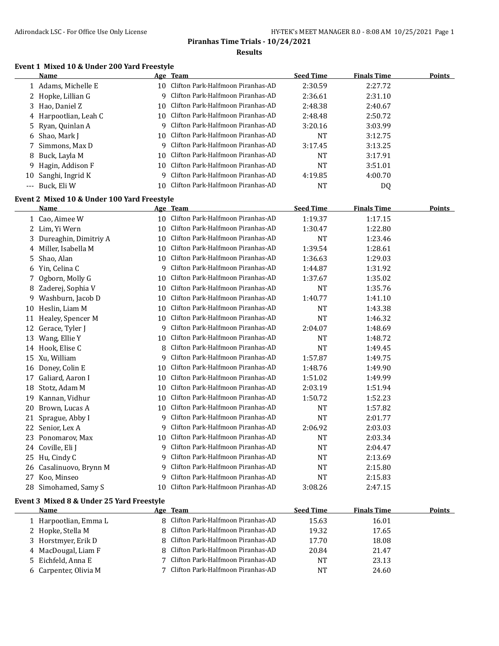# **Event 1 Mixed 10 & Under 200 Yard Freestyle**

|             | Name                                        |     | Age Team                             | <b>Seed Time</b> | <b>Finals Time</b> | <b>Points</b> |
|-------------|---------------------------------------------|-----|--------------------------------------|------------------|--------------------|---------------|
|             | 1 Adams, Michelle E                         | 10. | Clifton Park-Halfmoon Piranhas-AD    | 2:30.59          | 2:27.72            |               |
| $2^{\circ}$ | Hopke, Lillian G                            | 9   | Clifton Park-Halfmoon Piranhas-AD    | 2:36.61          | 2:31.10            |               |
| 3           | Hao, Daniel Z                               | 10  | Clifton Park-Halfmoon Piranhas-AD    | 2:48.38          | 2:40.67            |               |
| 4           | Harpootlian, Leah C                         | 10  | Clifton Park-Halfmoon Piranhas-AD    | 2:48.48          | 2:50.72            |               |
| 5           | Ryan, Quinlan A                             | 9   | Clifton Park-Halfmoon Piranhas-AD    | 3:20.16          | 3:03.99            |               |
| 6           | Shao, Mark J                                | 10  | Clifton Park-Halfmoon Piranhas-AD    | <b>NT</b>        | 3:12.75            |               |
| 7           | Simmons, Max D                              | 9   | Clifton Park-Halfmoon Piranhas-AD    | 3:17.45          | 3:13.25            |               |
| 8           | Buck, Layla M                               | 10  | Clifton Park-Halfmoon Piranhas-AD    | <b>NT</b>        | 3:17.91            |               |
| 9           | Hagin, Addison F                            | 10  | Clifton Park-Halfmoon Piranhas-AD    | <b>NT</b>        | 3:51.01            |               |
| 10          | Sanghi, Ingrid K                            | 9   | Clifton Park-Halfmoon Piranhas-AD    | 4:19.85          | 4:00.70            |               |
| $---$       | Buck, Eli W                                 | 10  | Clifton Park-Halfmoon Piranhas-AD    | <b>NT</b>        | DQ                 |               |
|             | Event 2 Mixed 10 & Under 100 Yard Freestyle |     |                                      |                  |                    |               |
|             | Name                                        |     | Age Team                             | <b>Seed Time</b> | <b>Finals Time</b> | <b>Points</b> |
|             | 1 Cao, Aimee W                              | 10  | Clifton Park-Halfmoon Piranhas-AD    | 1:19.37          | 1:17.15            |               |
|             | 2 Lim, Yi Wern                              | 10  | Clifton Park-Halfmoon Piranhas-AD    | 1:30.47          | 1:22.80            |               |
| 3           | Dureaghin, Dimitriy A                       | 10  | Clifton Park-Halfmoon Piranhas-AD    | <b>NT</b>        | 1:23.46            |               |
|             | 4 Miller, Isabella M                        | 10  | Clifton Park-Halfmoon Piranhas-AD    | 1:39.54          | 1:28.61            |               |
| 5.          | Shao, Alan                                  | 10  | Clifton Park-Halfmoon Piranhas-AD    | 1:36.63          | 1:29.03            |               |
|             | 6 Yin, Celina C                             | 9   | Clifton Park-Halfmoon Piranhas-AD    | 1:44.87          | 1:31.92            |               |
| 7.          | Ogborn, Molly G                             | 10  | Clifton Park-Halfmoon Piranhas-AD    | 1:37.67          | 1:35.02            |               |
|             | 8 Zaderej, Sophia V                         | 10  | Clifton Park-Halfmoon Piranhas-AD    | <b>NT</b>        | 1:35.76            |               |
| 9           | Washburn, Jacob D                           | 10  | Clifton Park-Halfmoon Piranhas-AD    | 1:40.77          | 1:41.10            |               |
| 10          | Heslin, Liam M                              | 10  | Clifton Park-Halfmoon Piranhas-AD    | <b>NT</b>        | 1:43.38            |               |
| 11          | Healey, Spencer M                           | 10  | Clifton Park-Halfmoon Piranhas-AD    | <b>NT</b>        | 1:46.32            |               |
| 12          | Gerace, Tyler J                             | 9   | Clifton Park-Halfmoon Piranhas-AD    | 2:04.07          | 1:48.69            |               |
| 13          | Wang, Ellie Y                               | 10  | Clifton Park-Halfmoon Piranhas-AD    | <b>NT</b>        | 1:48.72            |               |
| 14          | Hook, Elise C                               | 8   | Clifton Park-Halfmoon Piranhas-AD    | <b>NT</b>        | 1:49.45            |               |
|             | 15 Xu, William                              | 9   | Clifton Park-Halfmoon Piranhas-AD    | 1:57.87          | 1:49.75            |               |
| 16          | Doney, Colin E                              | 10  | Clifton Park-Halfmoon Piranhas-AD    | 1:48.76          | 1:49.90            |               |
| 17          | Galiard, Aaron I                            | 10  | Clifton Park-Halfmoon Piranhas-AD    | 1:51.02          | 1:49.99            |               |
| 18          | Stotz, Adam M                               | 10  | Clifton Park-Halfmoon Piranhas-AD    | 2:03.19          | 1:51.94            |               |
|             | 19 Kannan, Vidhur                           | 10  | Clifton Park-Halfmoon Piranhas-AD    | 1:50.72          | 1:52.23            |               |
| 20          | Brown, Lucas A                              | 10  | Clifton Park-Halfmoon Piranhas-AD    | <b>NT</b>        | 1:57.82            |               |
|             | 21 Sprague, Abby I                          | 9   | Clifton Park-Halfmoon Piranhas-AD    | <b>NT</b>        | 2:01.77            |               |
|             | 22 Senior, Lex A                            |     | 9 Clifton Park-Halfmoon Piranhas-AD  | 2:06.92          | 2:03.03            |               |
|             | 23 Ponomarov, Max                           |     | 10 Clifton Park-Halfmoon Piranhas-AD | <b>NT</b>        | 2:03.34            |               |
|             | 24 Coville, Eli J                           |     | 9 Clifton Park-Halfmoon Piranhas-AD  | <b>NT</b>        | 2:04.47            |               |
|             | 25 Hu, Cindy C                              | 9   | Clifton Park-Halfmoon Piranhas-AD    | <b>NT</b>        | 2:13.69            |               |
| 26          | Casalinuovo, Brynn M                        | 9   | Clifton Park-Halfmoon Piranhas-AD    | <b>NT</b>        | 2:15.80            |               |
|             | 27 Koo, Minseo                              | 9   | Clifton Park-Halfmoon Piranhas-AD    | <b>NT</b>        | 2:15.83            |               |
|             | 28 Simohamed, Samy S                        | 10  | Clifton Park-Halfmoon Piranhas-AD    | 3:08.26          | 2:47.15            |               |
|             | Event 3 Mixed 8 & Under 25 Yard Freestyle   |     |                                      |                  |                    |               |
|             | Name                                        |     | Age Team                             | <b>Seed Time</b> | <b>Finals Time</b> | <b>Points</b> |

| <b>Name</b>           | Age leam                            | seed lime | <b>Finals lime</b> | POINTS |
|-----------------------|-------------------------------------|-----------|--------------------|--------|
| Harpootlian, Emma L   | 8 Clifton Park-Halfmoon Piranhas-AD | 15.63     | 16.01              |        |
| 2 Hopke, Stella M     | 8 Clifton Park-Halfmoon Piranhas-AD | 19.32     | 17.65              |        |
| 3 Horstmyer, Erik D   | 8 Clifton Park-Halfmoon Piranhas-AD | 17.70     | 18.08              |        |
| 4 MacDougal, Liam F   | 8 Clifton Park-Halfmoon Piranhas-AD | 20.84     | 21.47              |        |
| 5 Eichfeld. Anna E    | 7 Clifton Park-Halfmoon Piranhas-AD | NT        | 23.13              |        |
| 6 Carpenter, Olivia M | 7 Clifton Park-Halfmoon Piranhas-AD | NT        | 24.60              |        |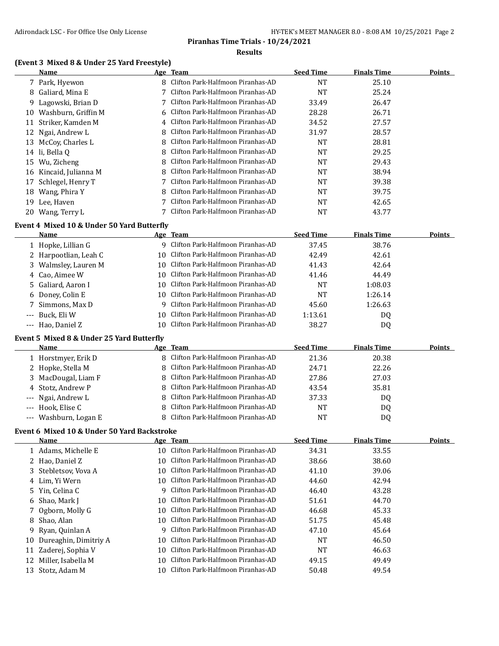# **(Event 3 Mixed 8 & Under 25 Yard Freestyle)**

|       | Name                                        |    | Age Team                             | <b>Seed Time</b> | <b>Finals Time</b> | <b>Points</b> |
|-------|---------------------------------------------|----|--------------------------------------|------------------|--------------------|---------------|
|       | 7 Park, Hyewon                              |    | 8 Clifton Park-Halfmoon Piranhas-AD  | NT               | 25.10              |               |
| 8     | Galiard, Mina E                             | 7  | Clifton Park-Halfmoon Piranhas-AD    | <b>NT</b>        | 25.24              |               |
| 9     | Lagowski, Brian D                           | 7  | Clifton Park-Halfmoon Piranhas-AD    | 33.49            | 26.47              |               |
| 10    | Washburn, Griffin M                         | 6  | Clifton Park-Halfmoon Piranhas-AD    | 28.28            | 26.71              |               |
| 11    | Striker, Kamden M                           | 4  | Clifton Park-Halfmoon Piranhas-AD    | 34.52            | 27.57              |               |
| 12    | Ngai, Andrew L                              | 8  | Clifton Park-Halfmoon Piranhas-AD    | 31.97            | 28.57              |               |
|       | 13 McCoy, Charles L                         | 8  | Clifton Park-Halfmoon Piranhas-AD    | <b>NT</b>        | 28.81              |               |
|       | 14 li, Bella Q                              | 8  | Clifton Park-Halfmoon Piranhas-AD    | NT               | 29.25              |               |
|       | 15 Wu, Zicheng                              | 8  | Clifton Park-Halfmoon Piranhas-AD    | <b>NT</b>        | 29.43              |               |
| 16    | Kincaid, Julianna M                         | 8  | Clifton Park-Halfmoon Piranhas-AD    | NT               | 38.94              |               |
| 17    | Schlegel, Henry T                           | 7  | Clifton Park-Halfmoon Piranhas-AD    | <b>NT</b>        | 39.38              |               |
| 18    | Wang, Phira Y                               |    | Clifton Park-Halfmoon Piranhas-AD    | NT               | 39.75              |               |
|       | 19 Lee, Haven                               |    | Clifton Park-Halfmoon Piranhas-AD    | NT               | 42.65              |               |
|       | 20 Wang, Terry L                            | 7  | Clifton Park-Halfmoon Piranhas-AD    | <b>NT</b>        | 43.77              |               |
|       | Event 4 Mixed 10 & Under 50 Yard Butterfly  |    |                                      |                  |                    |               |
|       | <u>Name</u>                                 |    | Age Team                             | <b>Seed Time</b> | <b>Finals Time</b> | <b>Points</b> |
|       | 1 Hopke, Lillian G                          |    | 9 Clifton Park-Halfmoon Piranhas-AD  | 37.45            | 38.76              |               |
|       | 2 Harpootlian, Leah C                       | 10 | Clifton Park-Halfmoon Piranhas-AD    | 42.49            | 42.61              |               |
|       | 3 Walmsley, Lauren M                        | 10 | Clifton Park-Halfmoon Piranhas-AD    | 41.43            | 42.64              |               |
|       | 4 Cao, Aimee W                              | 10 | Clifton Park-Halfmoon Piranhas-AD    | 41.46            | 44.49              |               |
| 5     | Galiard, Aaron I                            |    | 10 Clifton Park-Halfmoon Piranhas-AD | <b>NT</b>        | 1:08.03            |               |
| 6     | Doney, Colin E                              | 10 | Clifton Park-Halfmoon Piranhas-AD    | <b>NT</b>        | 1:26.14            |               |
| 7     | Simmons, Max D                              | 9  | Clifton Park-Halfmoon Piranhas-AD    | 45.60            | 1:26.63            |               |
| ---   | Buck, Eli W                                 | 10 | Clifton Park-Halfmoon Piranhas-AD    | 1:13.61          | DQ                 |               |
|       | --- Hao, Daniel Z                           | 10 | Clifton Park-Halfmoon Piranhas-AD    | 38.27            | DQ                 |               |
|       |                                             |    |                                      |                  |                    |               |
|       | Event 5 Mixed 8 & Under 25 Yard Butterfly   |    |                                      |                  |                    |               |
|       | Name                                        |    | Age Team                             | <b>Seed Time</b> | <b>Finals Time</b> | Points        |
|       | 1 Horstmyer, Erik D                         | 8  | Clifton Park-Halfmoon Piranhas-AD    | 21.36            | 20.38              |               |
|       | 2 Hopke, Stella M                           | 8  | Clifton Park-Halfmoon Piranhas-AD    | 24.71            | 22.26              |               |
| 3     | MacDougal, Liam F                           | 8  | Clifton Park-Halfmoon Piranhas-AD    | 27.86            | 27.03              |               |
| 4     | Stotz, Andrew P                             | 8  | Clifton Park-Halfmoon Piranhas-AD    | 43.54            | 35.81              |               |
|       | Ngai, Andrew L                              | 8  | Clifton Park-Halfmoon Piranhas-AD    | 37.33            | DQ                 |               |
|       | Hook, Elise C                               | 8  | Clifton Park-Halfmoon Piranhas-AD    | NT               | DQ                 |               |
| $---$ | Washburn, Logan E                           | 8  | Clifton Park-Halfmoon Piranhas-AD    | <b>NT</b>        | DQ                 |               |
|       | Event 6 Mixed 10 & Under 50 Yard Backstroke |    |                                      |                  |                    |               |
|       | <b>Name</b>                                 |    | Age Team                             | <b>Seed Time</b> | <b>Finals Time</b> | <b>Points</b> |
|       | 1 Adams, Michelle E                         | 10 | Clifton Park-Halfmoon Piranhas-AD    | 34.31            | 33.55              |               |
|       | 2 Hao, Daniel Z                             | 10 | Clifton Park-Halfmoon Piranhas-AD    | 38.66            | 38.60              |               |
| 3     | Stebletsov, Vova A                          | 10 | Clifton Park-Halfmoon Piranhas-AD    | 41.10            | 39.06              |               |
|       | 4 Lim, Yi Wern                              | 10 | Clifton Park-Halfmoon Piranhas-AD    | 44.60            | 42.94              |               |
| 5     | Yin, Celina C                               | 9  | Clifton Park-Halfmoon Piranhas-AD    | 46.40            | 43.28              |               |
| 6     | Shao, Mark J                                | 10 | Clifton Park-Halfmoon Piranhas-AD    | 51.61            | 44.70              |               |
| 7     | Ogborn, Molly G                             | 10 | Clifton Park-Halfmoon Piranhas-AD    | 46.68            | 45.33              |               |
| 8     | Shao, Alan                                  | 10 | Clifton Park-Halfmoon Piranhas-AD    | 51.75            | 45.48              |               |
| 9     | Ryan, Quinlan A                             | 9  | Clifton Park-Halfmoon Piranhas-AD    | 47.10            | 45.64              |               |
| 10    | Dureaghin, Dimitriy A                       | 10 | Clifton Park-Halfmoon Piranhas-AD    | NT               | 46.50              |               |
| 11    | Zaderej, Sophia V                           | 10 | Clifton Park-Halfmoon Piranhas-AD    | <b>NT</b>        | 46.63              |               |
| 12    | Miller, Isabella M                          | 10 | Clifton Park-Halfmoon Piranhas-AD    | 49.15            | 49.49              |               |
|       | 13 Stotz, Adam M                            | 10 | Clifton Park-Halfmoon Piranhas-AD    | 50.48            | 49.54              |               |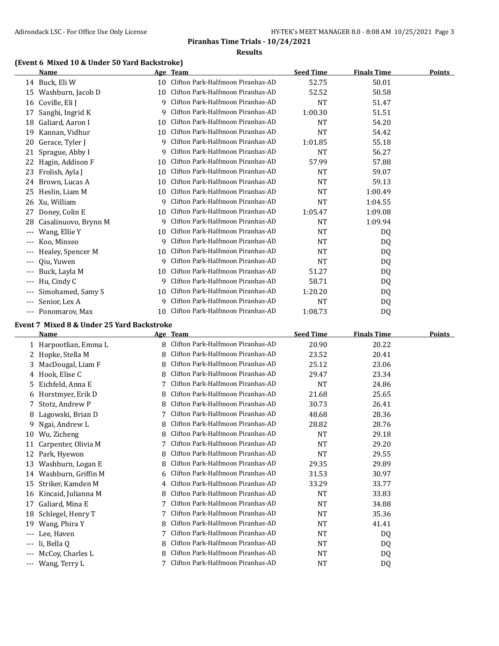#### **(Event 6 Mixed 10 & Under 50 Yard Backstroke)**

|                     | Name                 |    | Age Team                          | <b>Seed Time</b> | <b>Finals Time</b> | <b>Points</b> |
|---------------------|----------------------|----|-----------------------------------|------------------|--------------------|---------------|
|                     | 14 Buck, Eli W       | 10 | Clifton Park-Halfmoon Piranhas-AD | 52.75            | 50.01              |               |
| 15                  | Washburn, Jacob D    | 10 | Clifton Park-Halfmoon Piranhas-AD | 52.52            | 50.58              |               |
| 16                  | Coville, Eli J       | 9  | Clifton Park-Halfmoon Piranhas-AD | NT               | 51.47              |               |
| 17                  | Sanghi, Ingrid K     | 9  | Clifton Park-Halfmoon Piranhas-AD | 1:00.30          | 51.51              |               |
| 18                  | Galiard, Aaron I     | 10 | Clifton Park-Halfmoon Piranhas-AD | NT               | 54.20              |               |
| 19                  | Kannan, Vidhur       | 10 | Clifton Park-Halfmoon Piranhas-AD | NT               | 54.42              |               |
| 20                  | Gerace, Tyler J      | 9  | Clifton Park-Halfmoon Piranhas-AD | 1:01.85          | 55.18              |               |
| 21                  | Sprague, Abby I      | 9  | Clifton Park-Halfmoon Piranhas-AD | NT               | 56.27              |               |
| 22                  | Hagin, Addison F     | 10 | Clifton Park-Halfmoon Piranhas-AD | 57.99            | 57.88              |               |
| 23                  | Frolish, Ayla J      | 10 | Clifton Park-Halfmoon Piranhas-AD | <b>NT</b>        | 59.07              |               |
| 24                  | Brown, Lucas A       | 10 | Clifton Park-Halfmoon Piranhas-AD | <b>NT</b>        | 59.13              |               |
| 25                  | Heslin, Liam M       | 10 | Clifton Park-Halfmoon Piranhas-AD | <b>NT</b>        | 1:00.49            |               |
| 26                  | Xu, William          | 9  | Clifton Park-Halfmoon Piranhas-AD | <b>NT</b>        | 1:04.55            |               |
| 27                  | Doney, Colin E       | 10 | Clifton Park-Halfmoon Piranhas-AD | 1:05.47          | 1:09.08            |               |
| 28                  | Casalinuovo, Brynn M | 9  | Clifton Park-Halfmoon Piranhas-AD | <b>NT</b>        | 1:09.94            |               |
| $---$               | Wang, Ellie Y        | 10 | Clifton Park-Halfmoon Piranhas-AD | NT               | DQ                 |               |
| $\qquad \qquad -$   | Koo, Minseo          | 9  | Clifton Park-Halfmoon Piranhas-AD | NT               | DQ                 |               |
| $\qquad \qquad - -$ | Healey, Spencer M    | 10 | Clifton Park-Halfmoon Piranhas-AD | <b>NT</b>        | DQ                 |               |
| $\qquad \qquad - -$ | Qiu, Yuwen           | 9  | Clifton Park-Halfmoon Piranhas-AD | <b>NT</b>        | DQ                 |               |
| $\cdots$            | Buck, Layla M        | 10 | Clifton Park-Halfmoon Piranhas-AD | 51.27            | DQ                 |               |
| $---$               | Hu, Cindy C          | 9  | Clifton Park-Halfmoon Piranhas-AD | 58.71            | DQ                 |               |
| $\qquad \qquad - -$ | Simohamed, Samy S    | 10 | Clifton Park-Halfmoon Piranhas-AD | 1:20.20          | DQ                 |               |
| $\qquad \qquad - -$ | Senior, Lex A        | 9  | Clifton Park-Halfmoon Piranhas-AD | <b>NT</b>        | DQ                 |               |
| $\qquad \qquad - -$ | Ponomarov. Max       | 10 | Clifton Park-Halfmoon Piranhas-AD | 1:08.73          | D <sub>0</sub>     |               |

## **Event 7 Mixed 8 & Under 25 Yard Backstroke Name Age Team Seed Time Finals Time Points** 1 Harpootlian, Emma L 8 Clifton Park-Halfmoon Piranhas-AD 20.90 20.22 2 Hopke, Stella M 8 Clifton Park-Halfmoon Piranhas-AD 23.52 20.41 3 MacDougal, Liam F 8 Clifton Park-Halfmoon Piranhas-AD 25.12 23.06 4 Hook, Elise C 8 Clifton Park-Halfmoon Piranhas-AD 29.47 23.34 5 Eichfeld, Anna E 7 Clifton Park-Halfmoon Piranhas-AD NT 24.86 6 Horstmyer, Erik D 8 Clifton Park-Halfmoon Piranhas-AD 21.68 25.65 7 Stotz, Andrew P 8 Clifton Park-Halfmoon Piranhas-AD 30.73 26.41 8 Lagowski, Brian D 7 Clifton Park-Halfmoon Piranhas-AD 48.68 28.36 9 Ngai, Andrew L 8 Clifton Park-Halfmoon Piranhas-AD 28.82 28.76 10 Wu, Zicheng **8 Clifton Park-Halfmoon Piranhas-AD** NT 29.18 11 Carpenter, Olivia M 7 Clifton Park-Halfmoon Piranhas-AD NT 29.20 12 Park, Hyewon 8 Clifton Park-Halfmoon Piranhas-AD NT 29.55 13 Washburn, Logan E 8 Clifton Park-Halfmoon Piranhas-AD 29.35 29.89 14 Washburn, Griffin M 6 Clifton Park-Halfmoon Piranhas-AD 31.53 30.97 15 Striker, Kamden M 4 Clifton Park-Halfmoon Piranhas-AD 33.29 33.77 16 Kincaid, Julianna M 8 Clifton Park-Halfmoon Piranhas-AD NT 33.83 17 Galiard, Mina E 7 Clifton Park-Halfmoon Piranhas-AD NT 34.88 18 Schlegel, Henry T 7 Clifton Park-Halfmoon Piranhas-AD NT 35.36 19 Wang, Phira Y 8 Clifton Park-Halfmoon Piranhas-AD NT 41.41 --- Lee, Haven 7 Clifton Park-Halfmoon Piranhas-AD NT DQ --- li, Bella Q 8 Clifton Park-Halfmoon Piranhas-AD NT DQ --- McCoy, Charles L 8 Clifton Park-Halfmoon Piranhas-AD NT DQ --- Wang, Terry L 7 Clifton Park-Halfmoon Piranhas-AD NT DQ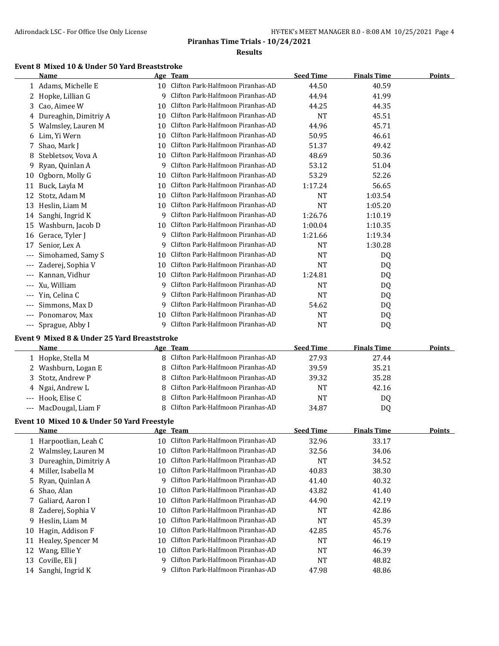## **Event 8 Mixed 10 & Under 50 Yard Breaststroke**

|              | Name                                         |                 | Age Team                          | <b>Seed Time</b> | <b>Finals Time</b> | <b>Points</b> |
|--------------|----------------------------------------------|-----------------|-----------------------------------|------------------|--------------------|---------------|
|              | 1 Adams, Michelle E                          | 10 <sup>1</sup> | Clifton Park-Halfmoon Piranhas-AD | 44.50            | 40.59              |               |
| $\mathbf{Z}$ | Hopke, Lillian G                             | 9               | Clifton Park-Halfmoon Piranhas-AD | 44.94            | 41.99              |               |
| 3.           | Cao, Aimee W                                 | 10              | Clifton Park-Halfmoon Piranhas-AD | 44.25            | 44.35              |               |
| 4            | Dureaghin, Dimitriy A                        | 10              | Clifton Park-Halfmoon Piranhas-AD | <b>NT</b>        | 45.51              |               |
| 5.           | Walmsley, Lauren M                           | 10              | Clifton Park-Halfmoon Piranhas-AD | 44.96            | 45.71              |               |
| 6            | Lim, Yi Wern                                 | 10              | Clifton Park-Halfmoon Piranhas-AD | 50.95            | 46.61              |               |
| 7            | Shao, Mark J                                 | 10              | Clifton Park-Halfmoon Piranhas-AD | 51.37            | 49.42              |               |
| 8            | Stebletsov, Vova A                           | 10              | Clifton Park-Halfmoon Piranhas-AD | 48.69            | 50.36              |               |
| 9            | Ryan, Quinlan A                              | 9               | Clifton Park-Halfmoon Piranhas-AD | 53.12            | 51.04              |               |
| 10           | Ogborn, Molly G                              | 10              | Clifton Park-Halfmoon Piranhas-AD | 53.29            | 52.26              |               |
| 11           | Buck, Layla M                                | 10              | Clifton Park-Halfmoon Piranhas-AD | 1:17.24          | 56.65              |               |
| 12           | Stotz, Adam M                                | 10              | Clifton Park-Halfmoon Piranhas-AD | <b>NT</b>        | 1:03.54            |               |
| 13           | Heslin, Liam M                               | 10              | Clifton Park-Halfmoon Piranhas-AD | <b>NT</b>        | 1:05.20            |               |
| 14           | Sanghi, Ingrid K                             | 9               | Clifton Park-Halfmoon Piranhas-AD | 1:26.76          | 1:10.19            |               |
| 15           | Washburn, Jacob D                            | 10              | Clifton Park-Halfmoon Piranhas-AD | 1:00.04          | 1:10.35            |               |
| 16           | Gerace, Tyler J                              | q               | Clifton Park-Halfmoon Piranhas-AD | 1:21.66          | 1:19.34            |               |
| 17           | Senior, Lex A                                | 9               | Clifton Park-Halfmoon Piranhas-AD | <b>NT</b>        | 1:30.28            |               |
| $---$        | Simohamed, Samy S                            | 10              | Clifton Park-Halfmoon Piranhas-AD | <b>NT</b>        | D <sub>0</sub>     |               |
| $---$        | Zaderej, Sophia V                            | 10              | Clifton Park-Halfmoon Piranhas-AD | <b>NT</b>        | DQ                 |               |
| $- - -$      | Kannan, Vidhur                               | 10              | Clifton Park-Halfmoon Piranhas-AD | 1:24.81          | DQ                 |               |
| $---$        | Xu, William                                  | 9               | Clifton Park-Halfmoon Piranhas-AD | <b>NT</b>        | DQ                 |               |
|              | Yin, Celina C                                | 9               | Clifton Park-Halfmoon Piranhas-AD | <b>NT</b>        | DQ                 |               |
| $- - -$      | Simmons, Max D                               | 9               | Clifton Park-Halfmoon Piranhas-AD | 54.62            | DQ                 |               |
| $---$        | Ponomarov, Max                               | 10              | Clifton Park-Halfmoon Piranhas-AD | <b>NT</b>        | DQ                 |               |
| $---$        | Sprague, Abby I                              | q               | Clifton Park-Halfmoon Piranhas-AD | <b>NT</b>        | DQ                 |               |
|              | Event 9 Mixed 8 & Under 25 Yard Breaststroke |                 |                                   |                  |                    |               |

| <b>Name</b>           | Age Team                            | <b>Seed Time</b> | <b>Finals Time</b> | Points |
|-----------------------|-------------------------------------|------------------|--------------------|--------|
| 1 Hopke, Stella M     | 8 Clifton Park-Halfmoon Piranhas-AD | 27.93            | 27.44              |        |
| 2 Washburn, Logan E   | 8 Clifton Park-Halfmoon Piranhas-AD | 39.59            | 35.21              |        |
| 3 Stotz, Andrew P     | 8 Clifton Park-Halfmoon Piranhas-AD | 39.32            | 35.28              |        |
| 4 Ngai, Andrew L      | 8 Clifton Park-Halfmoon Piranhas-AD | NT               | 42.16              |        |
| --- Hook, Elise C     | 8 Clifton Park-Halfmoon Piranhas-AD | <b>NT</b>        | DO.                |        |
| --- MacDougal, Liam F | 8 Clifton Park-Halfmoon Piranhas-AD | 34.87            | DO.                |        |

## **Event 10 Mixed 10 & Under 50 Yard Freestyle**

|    | Name                    |     | Age Team                          | <b>Seed Time</b> | <b>Finals Time</b> | <b>Points</b> |
|----|-------------------------|-----|-----------------------------------|------------------|--------------------|---------------|
|    | 1 Harpootlian, Leah C   | 10  | Clifton Park-Halfmoon Piranhas-AD | 32.96            | 33.17              |               |
|    | 2 Walmsley, Lauren M    | 10  | Clifton Park-Halfmoon Piranhas-AD | 32.56            | 34.06              |               |
|    | 3 Dureaghin, Dimitriy A | 10  | Clifton Park-Halfmoon Piranhas-AD | <b>NT</b>        | 34.52              |               |
|    | 4 Miller, Isabella M    | 10. | Clifton Park-Halfmoon Piranhas-AD | 40.83            | 38.30              |               |
|    | 5 Ryan, Quinlan A       | 9   | Clifton Park-Halfmoon Piranhas-AD | 41.40            | 40.32              |               |
|    | 6 Shao, Alan            | 10  | Clifton Park-Halfmoon Piranhas-AD | 43.82            | 41.40              |               |
|    | 7 Galiard, Aaron I      | 10  | Clifton Park-Halfmoon Piranhas-AD | 44.90            | 42.19              |               |
|    | 8 Zaderej, Sophia V     | 10  | Clifton Park-Halfmoon Piranhas-AD | NT               | 42.86              |               |
| 9. | Heslin, Liam M          | 10  | Clifton Park-Halfmoon Piranhas-AD | NT               | 45.39              |               |
| 10 | Hagin, Addison F        | 10  | Clifton Park-Halfmoon Piranhas-AD | 42.85            | 45.76              |               |
| 11 | Healey, Spencer M       | 10  | Clifton Park-Halfmoon Piranhas-AD | <b>NT</b>        | 46.19              |               |
| 12 | Wang, Ellie Y           | 10  | Clifton Park-Halfmoon Piranhas-AD | NT               | 46.39              |               |
| 13 | Coville, Eli J          | q   | Clifton Park-Halfmoon Piranhas-AD | <b>NT</b>        | 48.82              |               |
|    | 14 Sanghi, Ingrid K     | 9   | Clifton Park-Halfmoon Piranhas-AD | 47.98            | 48.86              |               |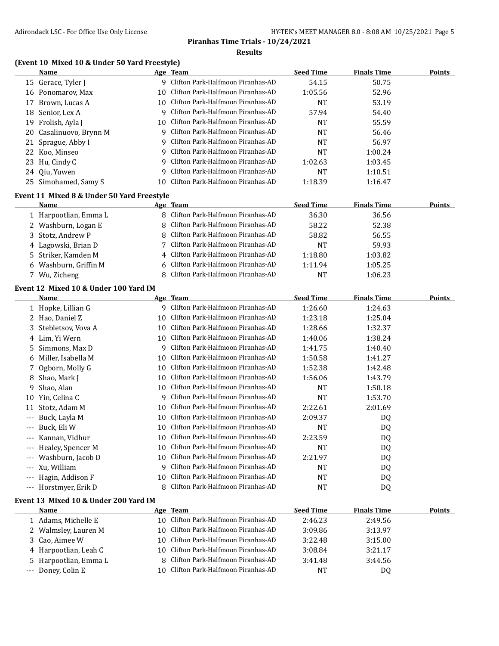## **(Event 10 Mixed 10 & Under 50 Yard Freestyle)**

|       | <b>Name</b>                                   |    | <u>Age Team</u>                      | <b>Seed Time</b> | <b>Finals Time</b> | <b>Points</b> |
|-------|-----------------------------------------------|----|--------------------------------------|------------------|--------------------|---------------|
|       | 15 Gerace, Tyler J                            |    | 9 Clifton Park-Halfmoon Piranhas-AD  | 54.15            | 50.75              |               |
|       | 16 Ponomarov, Max                             |    | 10 Clifton Park-Halfmoon Piranhas-AD | 1:05.56          | 52.96              |               |
| 17    | Brown, Lucas A                                |    | 10 Clifton Park-Halfmoon Piranhas-AD | <b>NT</b>        | 53.19              |               |
|       | 18 Senior, Lex A                              | 9  | Clifton Park-Halfmoon Piranhas-AD    | 57.94            | 54.40              |               |
|       | 19 Frolish, Ayla J                            | 10 | Clifton Park-Halfmoon Piranhas-AD    | <b>NT</b>        | 55.59              |               |
|       | 20 Casalinuovo, Brynn M                       | 9  | Clifton Park-Halfmoon Piranhas-AD    | <b>NT</b>        | 56.46              |               |
| 21    | Sprague, Abby I                               | 9  | Clifton Park-Halfmoon Piranhas-AD    | <b>NT</b>        | 56.97              |               |
| 22    | Koo, Minseo                                   | 9  | Clifton Park-Halfmoon Piranhas-AD    | <b>NT</b>        | 1:00.24            |               |
| 23    | Hu, Cindy C                                   | 9  | Clifton Park-Halfmoon Piranhas-AD    | 1:02.63          | 1:03.45            |               |
| 24    | Qiu, Yuwen                                    | 9  | Clifton Park-Halfmoon Piranhas-AD    | <b>NT</b>        | 1:10.51            |               |
| 25    | Simohamed, Samy S                             | 10 | Clifton Park-Halfmoon Piranhas-AD    | 1:18.39          | 1:16.47            |               |
|       | Event 11 Mixed 8 & Under 50 Yard Freestyle    |    |                                      |                  |                    |               |
|       | <b>Name</b>                                   |    | Age Team                             | <b>Seed Time</b> | <b>Finals Time</b> | <b>Points</b> |
|       | 1 Harpootlian, Emma L                         |    | 8 Clifton Park-Halfmoon Piranhas-AD  | 36.30            | 36.56              |               |
| 2     | Washburn, Logan E                             | 8  | Clifton Park-Halfmoon Piranhas-AD    | 58.22            | 52.38              |               |
| 3     | Stotz, Andrew P                               | 8  | Clifton Park-Halfmoon Piranhas-AD    | 58.82            | 56.55              |               |
|       | 4 Lagowski, Brian D                           | 7  | Clifton Park-Halfmoon Piranhas-AD    | <b>NT</b>        | 59.93              |               |
| 5.    | Striker, Kamden M                             |    | Clifton Park-Halfmoon Piranhas-AD    | 1:18.80          | 1:03.82            |               |
| 6     | Washburn, Griffin M                           |    | Clifton Park-Halfmoon Piranhas-AD    | 1:11.94          | 1:05.25            |               |
|       | 7 Wu, Zicheng                                 | 8  | Clifton Park-Halfmoon Piranhas-AD    | NT               | 1:06.23            |               |
|       | Event 12 Mixed 10 & Under 100 Yard IM         |    |                                      |                  |                    |               |
|       | <u>Name</u>                                   |    | Age Team                             | <b>Seed Time</b> | <b>Finals Time</b> | <b>Points</b> |
|       | 1 Hopke, Lillian G                            |    | 9 Clifton Park-Halfmoon Piranhas-AD  | 1:26.60          | 1:24.63            |               |
|       | 2 Hao, Daniel Z                               |    | 10 Clifton Park-Halfmoon Piranhas-AD | 1:23.18          | 1:25.04            |               |
| 3     | Stebletsov, Vova A                            |    | 10 Clifton Park-Halfmoon Piranhas-AD | 1:28.66          | 1:32.37            |               |
| 4     | Lim, Yi Wern                                  |    | 10 Clifton Park-Halfmoon Piranhas-AD | 1:40.06          | 1:38.24            |               |
| 5.    | Simmons, Max D                                | 9  | Clifton Park-Halfmoon Piranhas-AD    | 1:41.75          | 1:40.40            |               |
| 6     | Miller, Isabella M                            | 10 | Clifton Park-Halfmoon Piranhas-AD    | 1:50.58          | 1:41.27            |               |
| 7     | Ogborn, Molly G                               |    | 10 Clifton Park-Halfmoon Piranhas-AD | 1:52.38          | 1:42.48            |               |
| 8     | Shao, Mark J                                  | 10 | Clifton Park-Halfmoon Piranhas-AD    | 1:56.06          | 1:43.79            |               |
| 9     | Shao, Alan                                    |    | 10 Clifton Park-Halfmoon Piranhas-AD | NT               | 1:50.18            |               |
|       | 10 Yin, Celina C                              | 9  | Clifton Park-Halfmoon Piranhas-AD    | NT               | 1:53.70            |               |
| 11    | Stotz, Adam M                                 |    | 10 Clifton Park-Halfmoon Piranhas-AD | 2:22.61          | 2:01.69            |               |
| $---$ | Buck, Layla M                                 |    | 10 Clifton Park-Halfmoon Piranhas-AD | 2:09.37          | DQ                 |               |
|       | --- Buck, Eli W                               |    | 10 Clifton Park-Halfmoon Piranhas-AD | <b>NT</b>        | DQ                 |               |
|       | --- Kannan, Vidhur                            |    | 10 Clifton Park-Halfmoon Piranhas-AD | 2:23.59          | DQ                 |               |
|       | Healey, Spencer M                             | 10 | Clifton Park-Halfmoon Piranhas-AD    | NT               | DQ                 |               |
|       | Washburn, Jacob D                             |    | 10 Clifton Park-Halfmoon Piranhas-AD | 2:21.97          | DQ                 |               |
| ---   | Xu, William                                   |    | 9 Clifton Park-Halfmoon Piranhas-AD  | NT               | DQ                 |               |
| ---   | Hagin, Addison F                              | 10 | Clifton Park-Halfmoon Piranhas-AD    | NT               | DQ                 |               |
| $---$ | Horstmyer, Erik D                             |    | 8 Clifton Park-Halfmoon Piranhas-AD  | NT               | DQ                 |               |
|       |                                               |    |                                      |                  |                    |               |
|       | Event 13 Mixed 10 & Under 200 Yard IM<br>Name |    | Age Team                             | <b>Seed Time</b> | <b>Finals Time</b> | <b>Points</b> |
|       | 1 Adams, Michelle E                           |    | 10 Clifton Park-Halfmoon Piranhas-AD | 2:46.23          | 2:49.56            |               |
|       | 2 Walmsley, Lauren M                          |    | 10 Clifton Park-Halfmoon Piranhas-AD | 3:09.86          | 3:13.97            |               |
|       |                                               |    |                                      |                  |                    |               |

 Cao, Aimee W 10 Clifton Park-Halfmoon Piranhas-AD 3:22.48 3:15.00 4 Harpootlian, Leah C 10 Clifton Park-Halfmoon Piranhas-AD 3:08.84 3:21.17 Harpootlian, Emma L 8 Clifton Park-Halfmoon Piranhas-AD 3:41.48 3:44.56 --- Doney, Colin E 10 Clifton Park-Halfmoon Piranhas-AD NT NT DQ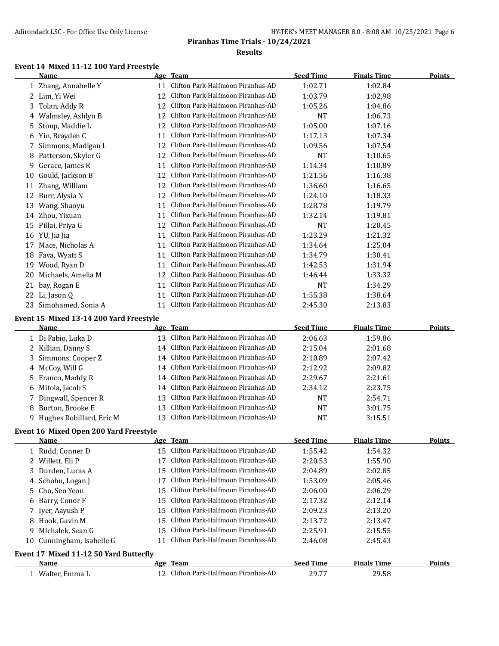| HY-TEK's MEET MANAGER 8.0 - 8:08 AM 10/25/2021 Page 6 |  |
|-------------------------------------------------------|--|
|-------------------------------------------------------|--|

## **Event 14 Mixed 11-12 100 Yard Freestyle**

|    | Name                                            |    | Age Team                             | <b>Seed Time</b> | <b>Finals Time</b> | <b>Points</b> |
|----|-------------------------------------------------|----|--------------------------------------|------------------|--------------------|---------------|
|    | 1 Zhang, Annabelle Y                            | 11 | Clifton Park-Halfmoon Piranhas-AD    | 1:02.71          | 1:02.84            |               |
|    | 2 Lim, Yi Wei                                   | 12 | Clifton Park-Halfmoon Piranhas-AD    | 1:03.79          | 1:02.98            |               |
| 3  | Tolan, Addy R                                   | 12 | Clifton Park-Halfmoon Piranhas-AD    | 1:05.26          | 1:04.86            |               |
| 4  | Walmsley, Ashlyn B                              | 12 | Clifton Park-Halfmoon Piranhas-AD    | <b>NT</b>        | 1:06.73            |               |
| 5  | Stoup, Maddie L                                 | 12 | Clifton Park-Halfmoon Piranhas-AD    | 1:05.00          | 1:07.16            |               |
|    | 6 Yin, Brayden C                                | 11 | Clifton Park-Halfmoon Piranhas-AD    | 1:17.13          | 1:07.34            |               |
| 7  | Simmons, Madigan L                              | 12 | Clifton Park-Halfmoon Piranhas-AD    | 1:09.56          | 1:07.54            |               |
| 8  | Patterson, Skyler G                             | 12 | Clifton Park-Halfmoon Piranhas-AD    | <b>NT</b>        | 1:10.65            |               |
| 9  | Gerace, James R                                 | 11 | Clifton Park-Halfmoon Piranhas-AD    | 1:14.34          | 1:10.89            |               |
| 10 | Gould, Jackson B                                | 12 | Clifton Park-Halfmoon Piranhas-AD    | 1:21.56          | 1:16.38            |               |
| 11 | Zhang, William                                  | 12 | Clifton Park-Halfmoon Piranhas-AD    | 1:36.60          | 1:16.65            |               |
| 12 | Burr, Alysia N                                  | 12 | Clifton Park-Halfmoon Piranhas-AD    | 1:24.10          | 1:18.33            |               |
| 13 | Wang, Shaoyu                                    | 11 | Clifton Park-Halfmoon Piranhas-AD    | 1:28.78          | 1:19.79            |               |
|    | 14 Zhou, Yixuan                                 | 11 | Clifton Park-Halfmoon Piranhas-AD    | 1:32.14          | 1:19.81            |               |
|    | 15 Pillai, Priya G                              | 12 | Clifton Park-Halfmoon Piranhas-AD    | NT               | 1:20.45            |               |
|    | 16 YU, Jia Jia                                  | 11 | Clifton Park-Halfmoon Piranhas-AD    | 1:23.29          | 1:21.32            |               |
| 17 | Mace, Nicholas A                                | 11 | Clifton Park-Halfmoon Piranhas-AD    | 1:34.64          | 1:25.04            |               |
|    | 18 Fava, Wyatt S                                | 11 | Clifton Park-Halfmoon Piranhas-AD    | 1:34.79          | 1:30.41            |               |
| 19 | Wood, Ryan D                                    | 11 | Clifton Park-Halfmoon Piranhas-AD    | 1:42.53          | 1:31.94            |               |
| 20 | Michaels, Amelia M                              | 12 | Clifton Park-Halfmoon Piranhas-AD    | 1:46.44          | 1:33.32            |               |
| 21 | bay, Rogan E                                    | 11 | Clifton Park-Halfmoon Piranhas-AD    | NT               | 1:34.29            |               |
|    | 22 Li, Jason Q                                  | 11 | Clifton Park-Halfmoon Piranhas-AD    | 1:55.38          | 1:38.64            |               |
|    | 23 Simohamed, Sonia A                           | 11 | Clifton Park-Halfmoon Piranhas-AD    | 2:45.30          | 2:13.83            |               |
|    |                                                 |    |                                      |                  |                    |               |
|    | Event 15 Mixed 13-14 200 Yard Freestyle<br>Name |    | Age Team                             | <b>Seed Time</b> | <b>Finals Time</b> | <b>Points</b> |
|    | 1 Di Fabio, Luka D                              | 13 | Clifton Park-Halfmoon Piranhas-AD    | 2:06.63          | 1:59.86            |               |
|    | 2 Killian, Danny S                              | 14 | Clifton Park-Halfmoon Piranhas-AD    | 2:15.04          | 2:01.68            |               |
| 3  | Simmons, Cooper Z                               | 14 | Clifton Park-Halfmoon Piranhas-AD    | 2:10.89          | 2:07.42            |               |
| 4  | McCoy, Will G                                   | 14 | Clifton Park-Halfmoon Piranhas-AD    | 2:12.92          | 2:09.82            |               |
| 5  | Franco, Maddy R                                 | 14 | Clifton Park-Halfmoon Piranhas-AD    | 2:29.67          | 2:21.61            |               |
|    | 6 Mitola, Jacob S                               | 14 | Clifton Park-Halfmoon Piranhas-AD    | 2:34.12          | 2:23.75            |               |
| 7. | Dingwall, Spencer R                             | 13 | Clifton Park-Halfmoon Piranhas-AD    | <b>NT</b>        | 2:54.71            |               |
|    | 8 Burton, Brooke E                              | 13 | Clifton Park-Halfmoon Piranhas-AD    | <b>NT</b>        | 3:01.75            |               |
|    | 9 Hughes Robillard, Eric M                      | 13 | Clifton Park-Halfmoon Piranhas-AD    | <b>NT</b>        | 3:15.51            |               |
|    |                                                 |    |                                      |                  |                    |               |
|    | Event 16 Mixed Open 200 Yard Freestyle          |    |                                      |                  |                    |               |
|    | <u>Name</u>                                     |    | <u>Age Team</u>                      | <b>Seed Time</b> | <b>Finals Time</b> | <b>Points</b> |
|    | 1 Rudd, Conner D                                | 15 | Clifton Park-Halfmoon Piranhas-AD    | 1:55.42          | 1:54.32            |               |
|    | 2 Willett, Eli P                                | 17 | Clifton Park-Halfmoon Piranhas-AD    | 2:20.53          | 1:55.90            |               |
| 3  | Durden, Lucas A                                 | 15 | Clifton Park-Halfmoon Piranhas-AD    | 2:04.89          | 2:02.85            |               |
| 4  | Schohn, Logan J                                 | 17 | Clifton Park-Halfmoon Piranhas-AD    | 1:53.09          | 2:05.46            |               |
| 5  | Cho, Seo Yeon                                   | 15 | Clifton Park-Halfmoon Piranhas-AD    | 2:06.00          | 2:06.29            |               |
| 6  | Barry, Conor F                                  | 15 | Clifton Park-Halfmoon Piranhas-AD    | 2:17.32          | 2:12.14            |               |
| 7. | Iyer, Aayush P                                  | 15 | Clifton Park-Halfmoon Piranhas-AD    | 2:09.23          | 2:13.20            |               |
|    | 8 Hook, Gavin M                                 | 15 | Clifton Park-Halfmoon Piranhas-AD    | 2:13.72          | 2:13.47            |               |
| 9  | Michalek, Sean G                                | 15 | Clifton Park-Halfmoon Piranhas-AD    | 2:25.91          | 2:15.55            |               |
| 10 | Cunningham, Isabelle G                          | 11 | Clifton Park-Halfmoon Piranhas-AD    | 2:46.08          | 2:45.43            |               |
|    | Event 17 Mixed 11-12 50 Yard Butterfly          |    |                                      |                  |                    |               |
|    | <b>Name</b>                                     |    | Age Team                             | <b>Seed Time</b> | <b>Finals Time</b> | <b>Points</b> |
|    | 1 Walter, Emma L                                |    | 12 Clifton Park-Halfmoon Piranhas-AD | 29.77            | 29.58              |               |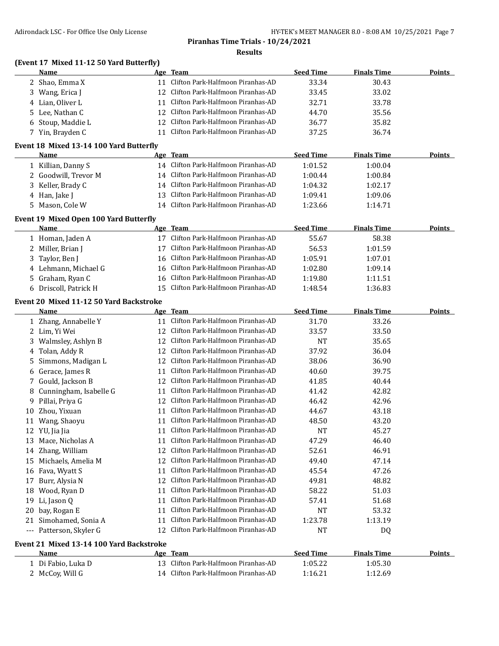## **(Event 17 Mixed 11-12 50 Yard Butterfly)**

| Name              | Age Team                             | <b>Seed Time</b> | <b>Finals Time</b> | <b>Points</b> |
|-------------------|--------------------------------------|------------------|--------------------|---------------|
| 2 Shao, Emma X    | 11 Clifton Park-Halfmoon Piranhas-AD | 33.34            | 30.43              |               |
| 3 Wang, Erica J   | 12 Clifton Park-Halfmoon Piranhas-AD | 33.45            | 33.02              |               |
| 4 Lian. Oliver L  | Clifton Park-Halfmoon Piranhas-AD    | 32.71            | 33.78              |               |
| 5 Lee, Nathan C   | 12 Clifton Park-Halfmoon Piranhas-AD | 44.70            | 35.56              |               |
| 6 Stoup, Maddie L | 12 Clifton Park-Halfmoon Piranhas-AD | 36.77            | 35.82              |               |
| 7 Yin, Brayden C  | Clifton Park-Halfmoon Piranhas-AD    | 37.25            | 36.74              |               |

#### **Event 18 Mixed 13-14 100 Yard Butterfly**

| Name                 | Age Team                             | <b>Seed Time</b> | <b>Finals Time</b> | <b>Points</b> |
|----------------------|--------------------------------------|------------------|--------------------|---------------|
| 1 Killian, Danny S   | 14 Clifton Park-Halfmoon Piranhas-AD | 1:01.52          | 1:00.04            |               |
| 2 Goodwill, Trevor M | 14 Clifton Park-Halfmoon Piranhas-AD | 1:00.44          | 1:00.84            |               |
| 3 Keller, Brady C    | 14 Clifton Park-Halfmoon Piranhas-AD | 1:04.32          | 1:02.17            |               |
| 4 Han, Jake J        | 13 Clifton Park-Halfmoon Piranhas-AD | 1:09.41          | 1:09.06            |               |
| 5 Mason, Cole W      | 14 Clifton Park-Halfmoon Piranhas-AD | 1:23.66          | 1:14.71            |               |

#### **Event 19 Mixed Open 100 Yard Butterfly**

| Name                  | Age Team                             | <b>Seed Time</b> | <b>Finals Time</b> | <b>Points</b> |
|-----------------------|--------------------------------------|------------------|--------------------|---------------|
| 1 Homan, Jaden A      | 17 Clifton Park-Halfmoon Piranhas-AD | 55.67            | 58.38              |               |
| 2 Miller, Brian J     | Clifton Park-Halfmoon Piranhas-AD    | 56.53            | 1:01.59            |               |
| 3 Taylor, Ben J       | 16 Clifton Park-Halfmoon Piranhas-AD | 1:05.91          | 1:07.01            |               |
| 4 Lehmann, Michael G  | 16 Clifton Park-Halfmoon Piranhas-AD | 1:02.80          | 1:09.14            |               |
| 5 Graham, Ryan C      | 16 Clifton Park-Halfmoon Piranhas-AD | 1:19.80          | 1:11.51            |               |
| 6 Driscoll, Patrick H | 15 Clifton Park-Halfmoon Piranhas-AD | 1:48.54          | 1:36.83            |               |

## **Event 20 Mixed 11-12 50 Yard Backstroke**

|    | <b>Name</b>                              | Age | <b>Team</b>                       | <b>Seed Time</b> | <b>Finals Time</b> | Points |
|----|------------------------------------------|-----|-----------------------------------|------------------|--------------------|--------|
|    | Zhang, Annabelle Y                       | 11  | Clifton Park-Halfmoon Piranhas-AD | 31.70            | 33.26              |        |
| 2. | Lim, Yi Wei                              | 12  | Clifton Park-Halfmoon Piranhas-AD | 33.57            | 33.50              |        |
| 3  | Walmsley, Ashlyn B                       | 12  | Clifton Park-Halfmoon Piranhas-AD | <b>NT</b>        | 35.65              |        |
| 4  | Tolan, Addy R                            | 12  | Clifton Park-Halfmoon Piranhas-AD | 37.92            | 36.04              |        |
| 5. | Simmons, Madigan L                       | 12  | Clifton Park-Halfmoon Piranhas-AD | 38.06            | 36.90              |        |
| 6  | Gerace, James R                          | 11  | Clifton Park-Halfmoon Piranhas-AD | 40.60            | 39.75              |        |
| 7  | Gould, Jackson B                         | 12  | Clifton Park-Halfmoon Piranhas-AD | 41.85            | 40.44              |        |
| 8  | Cunningham, Isabelle G                   | 11  | Clifton Park-Halfmoon Piranhas-AD | 41.42            | 42.82              |        |
| 9  | Pillai, Priya G                          | 12  | Clifton Park-Halfmoon Piranhas-AD | 46.42            | 42.96              |        |
| 10 | Zhou, Yixuan                             | 11  | Clifton Park-Halfmoon Piranhas-AD | 44.67            | 43.18              |        |
| 11 | Wang, Shaoyu                             | 11  | Clifton Park-Halfmoon Piranhas-AD | 48.50            | 43.20              |        |
| 12 | YU, Jia Jia                              | 11  | Clifton Park-Halfmoon Piranhas-AD | <b>NT</b>        | 45.27              |        |
| 13 | Mace, Nicholas A                         | 11  | Clifton Park-Halfmoon Piranhas-AD | 47.29            | 46.40              |        |
| 14 | Zhang, William                           | 12  | Clifton Park-Halfmoon Piranhas-AD | 52.61            | 46.91              |        |
| 15 | Michaels, Amelia M                       | 12  | Clifton Park-Halfmoon Piranhas-AD | 49.40            | 47.14              |        |
| 16 | Fava, Wyatt S                            | 11  | Clifton Park-Halfmoon Piranhas-AD | 45.54            | 47.26              |        |
| 17 | Burr, Alysia N                           | 12  | Clifton Park-Halfmoon Piranhas-AD | 49.81            | 48.82              |        |
| 18 | Wood, Ryan D                             | 11  | Clifton Park-Halfmoon Piranhas-AD | 58.22            | 51.03              |        |
| 19 | Li, Jason Q                              | 11  | Clifton Park-Halfmoon Piranhas-AD | 57.41            | 51.68              |        |
| 20 | bay, Rogan E                             | 11  | Clifton Park-Halfmoon Piranhas-AD | <b>NT</b>        | 53.32              |        |
| 21 | Simohamed, Sonia A                       | 11  | Clifton Park-Halfmoon Piranhas-AD | 1:23.78          | 1:13.19            |        |
|    | --- Patterson, Skyler G                  | 12  | Clifton Park-Halfmoon Piranhas-AD | <b>NT</b>        | DQ                 |        |
|    | Event 21 Mixed 13-14 100 Yard Backstroke |     |                                   |                  |                    |        |
|    | Name                                     | Age | <b>Team</b>                       | <b>Seed Time</b> | <b>Finals Time</b> | Points |
|    | 1 Di Fabio, Luka D                       | 13  | Clifton Park-Halfmoon Piranhas-AD | 1:05.22          | 1:05.30            |        |

2 McCoy, Will G 1:12.69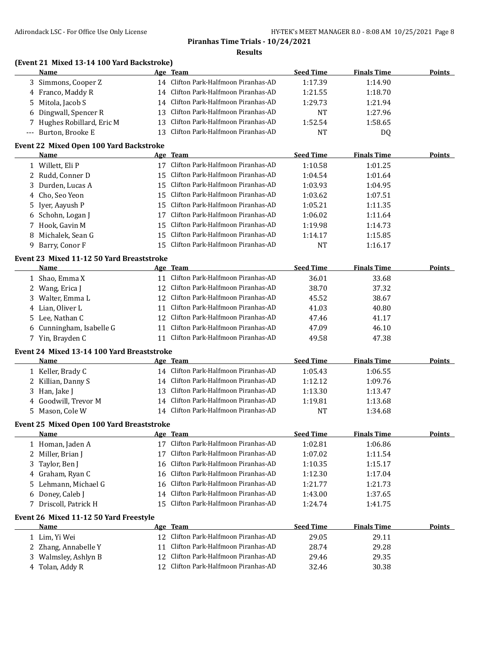## **(Event 21 Mixed 13-14 100 Yard Backstroke)**

| Name                       |    | Age Team                             | <b>Seed Time</b> | <b>Finals Time</b> | <b>Points</b> |
|----------------------------|----|--------------------------------------|------------------|--------------------|---------------|
| 3 Simmons, Cooper Z        |    | 14 Clifton Park-Halfmoon Piranhas-AD | 1:17.39          | 1:14.90            |               |
| 4 Franco, Maddy R          |    | 14 Clifton Park-Halfmoon Piranhas-AD | 1:21.55          | 1:18.70            |               |
| 5 Mitola, Jacob S          | 14 | Clifton Park-Halfmoon Piranhas-AD    | 1:29.73          | 1:21.94            |               |
| 6 Dingwall, Spencer R      |    | 13 Clifton Park-Halfmoon Piranhas-AD | <b>NT</b>        | 1:27.96            |               |
| 7 Hughes Robillard, Eric M |    | 13 Clifton Park-Halfmoon Piranhas-AD | 1:52.54          | 1:58.65            |               |
| --- Burton, Brooke E       |    | 13 Clifton Park-Halfmoon Piranhas-AD | <b>NT</b>        | D <sub>0</sub>     |               |

#### **Event 22 Mixed Open 100 Yard Backstroke**

|   | Name              |    | Age Team                             | <b>Seed Time</b> | <b>Finals Time</b> | <b>Points</b> |
|---|-------------------|----|--------------------------------------|------------------|--------------------|---------------|
|   | Willett, Eli P    |    | Clifton Park-Halfmoon Piranhas-AD    | 1:10.58          | 1:01.25            |               |
|   | 2 Rudd, Conner D  |    | 15 Clifton Park-Halfmoon Piranhas-AD | 1:04.54          | 1:01.64            |               |
|   | 3 Durden, Lucas A |    | 15 Clifton Park-Halfmoon Piranhas-AD | 1:03.93          | 1:04.95            |               |
|   | 4 Cho, Seo Yeon   |    | 15 Clifton Park-Halfmoon Piranhas-AD | 1:03.62          | 1:07.51            |               |
|   | 5 Iyer, Aayush P  |    | 15 Clifton Park-Halfmoon Piranhas-AD | 1:05.21          | 1:11.35            |               |
|   | 6 Schohn, Logan J | 17 | Clifton Park-Halfmoon Piranhas-AD    | 1:06.02          | 1:11.64            |               |
|   | 7 Hook, Gavin M   |    | 15 Clifton Park-Halfmoon Piranhas-AD | 1:19.98          | 1:14.73            |               |
| 8 | Michalek, Sean G  |    | 15 Clifton Park-Halfmoon Piranhas-AD | 1:14.17          | 1:15.85            |               |
|   | Barry, Conor F    |    | Clifton Park-Halfmoon Piranhas-AD    | NT               | 1:16.17            |               |

#### **Event 23 Mixed 11-12 50 Yard Breaststroke**

| Name                     |                 | Age Team                             | <b>Seed Time</b> | <b>Finals Time</b> | <b>Points</b> |
|--------------------------|-----------------|--------------------------------------|------------------|--------------------|---------------|
| 1 Shao, Emma X           |                 | Clifton Park-Halfmoon Piranhas-AD    | 36.01            | 33.68              |               |
| 2 Wang, Erica J          |                 | 12 Clifton Park-Halfmoon Piranhas-AD | 38.70            | 37.32              |               |
| 3 Walter, Emma L         | 12 <sup>1</sup> | Clifton Park-Halfmoon Piranhas-AD    | 45.52            | 38.67              |               |
| 4 Lian, Oliver L         |                 | Clifton Park-Halfmoon Piranhas-AD    | 41.03            | 40.80              |               |
| 5 Lee, Nathan C          |                 | 12 Clifton Park-Halfmoon Piranhas-AD | 47.46            | 41.17              |               |
| 6 Cunningham, Isabelle G |                 | Clifton Park-Halfmoon Piranhas-AD    | 47.09            | 46.10              |               |
| 7 Yin, Brayden C         |                 | Clifton Park-Halfmoon Piranhas-AD    | 49.58            | 47.38              |               |

## **Event 24 Mixed 13-14 100 Yard Breaststroke**

| Name                 | Age Team                             | <b>Seed Time</b> | <b>Finals Time</b> | <b>Points</b> |
|----------------------|--------------------------------------|------------------|--------------------|---------------|
| 1 Keller, Brady C    | 14 Clifton Park-Halfmoon Piranhas-AD | 1:05.43          | 1:06.55            |               |
| 2 Killian, Danny S   | 14 Clifton Park-Halfmoon Piranhas-AD | 1:12.12          | 1:09.76            |               |
| 3 Han, Jake J        | 13 Clifton Park-Halfmoon Piranhas-AD | 1:13.30          | 1:13.47            |               |
| 4 Goodwill, Trevor M | 14 Clifton Park-Halfmoon Piranhas-AD | 1:19.81          | 1:13.68            |               |
| 5 Mason, Cole W      | 14 Clifton Park-Halfmoon Piranhas-AD | NT.              | 1:34.68            |               |

#### **Event 25 Mixed Open 100 Yard Breaststroke**

| Name                  | Age Team                             | <b>Seed Time</b> | <b>Finals Time</b> | Points |
|-----------------------|--------------------------------------|------------------|--------------------|--------|
| 1 Homan, Jaden A      | 17 Clifton Park-Halfmoon Piranhas-AD | 1:02.81          | 1:06.86            |        |
| 2 Miller, Brian J     | Clifton Park-Halfmoon Piranhas-AD    | 1:07.02          | 1:11.54            |        |
| 3 Taylor, Ben J       | 16 Clifton Park-Halfmoon Piranhas-AD | 1:10.35          | 1:15.17            |        |
| 4 Graham, Ryan C      | 16 Clifton Park-Halfmoon Piranhas-AD | 1:12.30          | 1:17.04            |        |
| 5 Lehmann, Michael G  | 16 Clifton Park-Halfmoon Piranhas-AD | 1:21.77          | 1:21.73            |        |
| 6 Doney, Caleb J      | 14 Clifton Park-Halfmoon Piranhas-AD | 1:43.00          | 1:37.65            |        |
| 7 Driscoll, Patrick H | 15 Clifton Park-Halfmoon Piranhas-AD | 1:24.74          | 1:41.75            |        |

#### **Event 26 Mixed 11-12 50 Yard Freestyle**

| Name                 | Age Team                             | <b>Seed Time</b> | <b>Finals Time</b> | <b>Points</b> |
|----------------------|--------------------------------------|------------------|--------------------|---------------|
| 1 Lim, Yi Wei        | 12 Clifton Park-Halfmoon Piranhas-AD | 29.05            | 29.11              |               |
| 2 Zhang, Annabelle Y | 11 Clifton Park-Halfmoon Piranhas-AD | 28.74            | 29.28              |               |
| 3 Walmsley, Ashlyn B | 12 Clifton Park-Halfmoon Piranhas-AD | 29.46            | 29.35              |               |
| 4 Tolan, Addy R      | 12 Clifton Park-Halfmoon Piranhas-AD | 32.46            | 30.38              |               |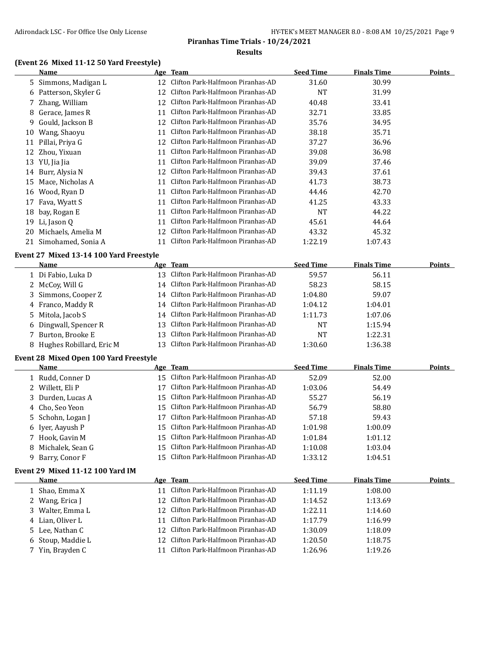## **(Event 26 Mixed 11-12 50 Yard Freestyle)**

|    | <b>Name</b>                             |     | Age Team                          | <b>Seed Time</b> | <b>Finals Time</b> | Points        |
|----|-----------------------------------------|-----|-----------------------------------|------------------|--------------------|---------------|
| 5. | Simmons, Madigan L                      | 12  | Clifton Park-Halfmoon Piranhas-AD | 31.60            | 30.99              |               |
| 6  | Patterson, Skyler G                     | 12  | Clifton Park-Halfmoon Piranhas-AD | NT               | 31.99              |               |
|    | Zhang, William                          | 12  | Clifton Park-Halfmoon Piranhas-AD | 40.48            | 33.41              |               |
| 8  | Gerace, James R                         | 11  | Clifton Park-Halfmoon Piranhas-AD | 32.71            | 33.85              |               |
| 9  | Gould, Jackson B                        | 12  | Clifton Park-Halfmoon Piranhas-AD | 35.76            | 34.95              |               |
| 10 | Wang, Shaoyu                            | 11  | Clifton Park-Halfmoon Piranhas-AD | 38.18            | 35.71              |               |
| 11 | Pillai, Priya G                         | 12  | Clifton Park-Halfmoon Piranhas-AD | 37.27            | 36.96              |               |
| 12 | Zhou, Yixuan                            | 11  | Clifton Park-Halfmoon Piranhas-AD | 39.08            | 36.98              |               |
| 13 | YU, Jia Jia                             | 11  | Clifton Park-Halfmoon Piranhas-AD | 39.09            | 37.46              |               |
| 14 | Burr, Alysia N                          | 12  | Clifton Park-Halfmoon Piranhas-AD | 39.43            | 37.61              |               |
| 15 | Mace, Nicholas A                        | 11  | Clifton Park-Halfmoon Piranhas-AD | 41.73            | 38.73              |               |
| 16 | Wood, Ryan D                            | 11  | Clifton Park-Halfmoon Piranhas-AD | 44.46            | 42.70              |               |
| 17 | Fava, Wyatt S                           | 11  | Clifton Park-Halfmoon Piranhas-AD | 41.25            | 43.33              |               |
| 18 | bay, Rogan E                            | 11  | Clifton Park-Halfmoon Piranhas-AD | <b>NT</b>        | 44.22              |               |
| 19 | Li, Jason Q                             | 11  | Clifton Park-Halfmoon Piranhas-AD | 45.61            | 44.64              |               |
| 20 | Michaels, Amelia M                      | 12  | Clifton Park-Halfmoon Piranhas-AD | 43.32            | 45.32              |               |
| 21 | Simohamed, Sonia A                      | 11  | Clifton Park-Halfmoon Piranhas-AD | 1:22.19          | 1:07.43            |               |
|    | Event 27 Mixed 13-14 100 Yard Freestyle |     |                                   |                  |                    |               |
|    | Name                                    | Age | <b>Team</b>                       | <b>Seed Time</b> | <b>Finals Time</b> | <b>Points</b> |
|    | 1 Di Fabio, Luka D                      | 13  | Clifton Park-Halfmoon Piranhas-AD | 59.57            | 56.11              |               |
|    |                                         |     |                                   |                  |                    |               |

| 1 Di Fabio, Luka D         | 13 Ulifton Park-Halfmoon Piranhas-AD | 59.57   | 56.11   |  |
|----------------------------|--------------------------------------|---------|---------|--|
| 2 McCoy, Will G            | 14 Clifton Park-Halfmoon Piranhas-AD | 58.23   | 58.15   |  |
| 3 Simmons, Cooper Z        | 14 Clifton Park-Halfmoon Piranhas-AD | 1:04.80 | 59.07   |  |
| 4 Franco, Maddy R          | 14 Clifton Park-Halfmoon Piranhas-AD | 1:04.12 | 1:04.01 |  |
| 5 Mitola, Jacob S          | 14 Clifton Park-Halfmoon Piranhas-AD | 1:11.73 | 1:07.06 |  |
| 6 Dingwall, Spencer R      | 13 Clifton Park-Halfmoon Piranhas-AD | NT      | 1:15.94 |  |
| 7 Burton, Brooke E         | 13 Clifton Park-Halfmoon Piranhas-AD | NT      | 1:22.31 |  |
| 8 Hughes Robillard, Eric M | 13 Clifton Park-Halfmoon Piranhas-AD | 1:30.60 | 1:36.38 |  |

#### **Event 28 Mixed Open 100 Yard Freestyle**

| Name               |     | Age Team                             | <b>Seed Time</b> | <b>Finals Time</b> | Points |
|--------------------|-----|--------------------------------------|------------------|--------------------|--------|
| 1 Rudd, Conner D   | 15. | Clifton Park-Halfmoon Piranhas-AD    | 52.09            | 52.00              |        |
| 2 Willett, Eli P   |     | Clifton Park-Halfmoon Piranhas-AD    | 1:03.06          | 54.49              |        |
| 3 Durden, Lucas A  | 15. | Clifton Park-Halfmoon Piranhas-AD    | 55.27            | 56.19              |        |
| 4 Cho, Seo Yeon    |     | 15 Clifton Park-Halfmoon Piranhas-AD | 56.79            | 58.80              |        |
| 5 Schohn, Logan J  |     | Clifton Park-Halfmoon Piranhas-AD    | 57.18            | 59.43              |        |
| 6 Iver, Aayush P   |     | 15 Clifton Park-Halfmoon Piranhas-AD | 1:01.98          | 1:00.09            |        |
| 7 Hook, Gavin M    |     | 15 Clifton Park-Halfmoon Piranhas-AD | 1:01.84          | 1:01.12            |        |
| 8 Michalek, Sean G | 15. | Clifton Park-Halfmoon Piranhas-AD    | 1:10.08          | 1:03.04            |        |
| 9 Barry, Conor F   | 15  | Clifton Park-Halfmoon Piranhas-AD    | 1:33.12          | 1:04.51            |        |

#### **Event 29 Mixed 11-12 100 Yard IM**

| Name              | Age Team                             | <b>Seed Time</b> | <b>Finals Time</b> | <b>Points</b> |
|-------------------|--------------------------------------|------------------|--------------------|---------------|
| 1 Shao, Emma X    | Clifton Park-Halfmoon Piranhas-AD    | 1:11.19          | 1:08.00            |               |
| 2 Wang, Erica J   | 12 Clifton Park-Halfmoon Piranhas-AD | 1:14.52          | 1:13.69            |               |
| 3 Walter, Emma L  | 12 Clifton Park-Halfmoon Piranhas-AD | 1:22.11          | 1:14.60            |               |
| 4 Lian, Oliver L  | Clifton Park-Halfmoon Piranhas-AD    | 1:17.79          | 1:16.99            |               |
| 5 Lee, Nathan C   | 12 Clifton Park-Halfmoon Piranhas-AD | 1:30.09          | 1:18.09            |               |
| 6 Stoup, Maddie L | 12 Clifton Park-Halfmoon Piranhas-AD | 1:20.50          | 1:18.75            |               |
| 7 Yin, Brayden C  | Clifton Park-Halfmoon Piranhas-AD    | 1:26.96          | 1:19.26            |               |